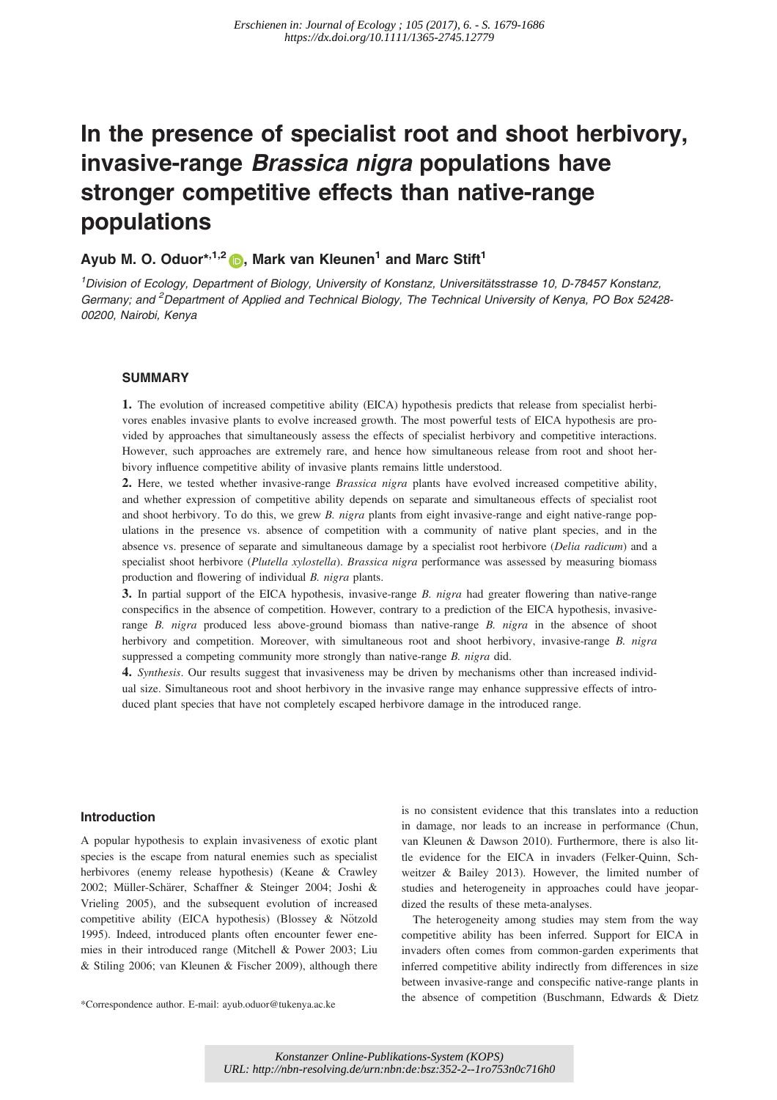# In the presence of specialist root and shoot herbivory, invasive-range Brassica nigra populations have stronger competitive effects than native-range populations

## Ayub M. O. Oduor<sup>\*,1,2</sup>  $\bullet$ , Mark van Kleunen<sup>1</sup> and Marc Stift<sup>1</sup>

<sup>1</sup> Division of Ecology, Department of Biology, University of Konstanz, Universitätsstrasse 10, D-78457 Konstanz, Germany; and <sup>2</sup>Department of Applied and Technical Biology, The Technical University of Kenya, PO Box 52428-00200, Nairobi, Kenya

## **SUMMARY**

1. The evolution of increased competitive ability (EICA) hypothesis predicts that release from specialist herbivores enables invasive plants to evolve increased growth. The most powerful tests of EICA hypothesis are provided by approaches that simultaneously assess the effects of specialist herbivory and competitive interactions. However, such approaches are extremely rare, and hence how simultaneous release from root and shoot herbivory influence competitive ability of invasive plants remains little understood.

2. Here, we tested whether invasive-range *Brassica nigra* plants have evolved increased competitive ability, and whether expression of competitive ability depends on separate and simultaneous effects of specialist root and shoot herbivory. To do this, we grew B. nigra plants from eight invasive-range and eight native-range populations in the presence vs. absence of competition with a community of native plant species, and in the absence vs. presence of separate and simultaneous damage by a specialist root herbivore (Delia radicum) and a specialist shoot herbivore (Plutella xylostella). Brassica nigra performance was assessed by measuring biomass production and flowering of individual B. nigra plants.

3. In partial support of the EICA hypothesis, invasive-range B. nigra had greater flowering than native-range conspecifics in the absence of competition. However, contrary to a prediction of the EICA hypothesis, invasiverange B. nigra produced less above-ground biomass than native-range B. nigra in the absence of shoot herbivory and competition. Moreover, with simultaneous root and shoot herbivory, invasive-range B. nigra suppressed a competing community more strongly than native-range B. nigra did.

4. Synthesis. Our results suggest that invasiveness may be driven by mechanisms other than increased individual size. Simultaneous root and shoot herbivory in the invasive range may enhance suppressive effects of introduced plant species that have not completely escaped herbivore damage in the introduced range.

#### Introduction

A popular hypothesis to explain invasiveness of exotic plant species is the escape from natural enemies such as specialist herbivores (enemy release hypothesis) (Keane & Crawley 2002; Müller-Schärer, Schaffner & Steinger 2004; Joshi & Vrieling 2005), and the subsequent evolution of increased competitive ability (EICA hypothesis) (Blossey & Nötzold 1995). Indeed, introduced plants often encounter fewer enemies in their introduced range (Mitchell & Power 2003; Liu & Stiling 2006; van Kleunen & Fischer 2009), although there

is no consistent evidence that this translates into a reduction in damage, nor leads to an increase in performance (Chun, van Kleunen & Dawson 2010). Furthermore, there is also little evidence for the EICA in invaders (Felker-Quinn, Schweitzer & Bailey 2013). However, the limited number of studies and heterogeneity in approaches could have jeopardized the results of these meta-analyses.

The heterogeneity among studies may stem from the way competitive ability has been inferred. Support for EICA in invaders often comes from common-garden experiments that inferred competitive ability indirectly from differences in size between invasive-range and conspecific native-range plants in the absence of competition (Buschmann, Edwards & Dietz \*Correspondence author. E-mail: ayub.oduor@tukenya.ac.ke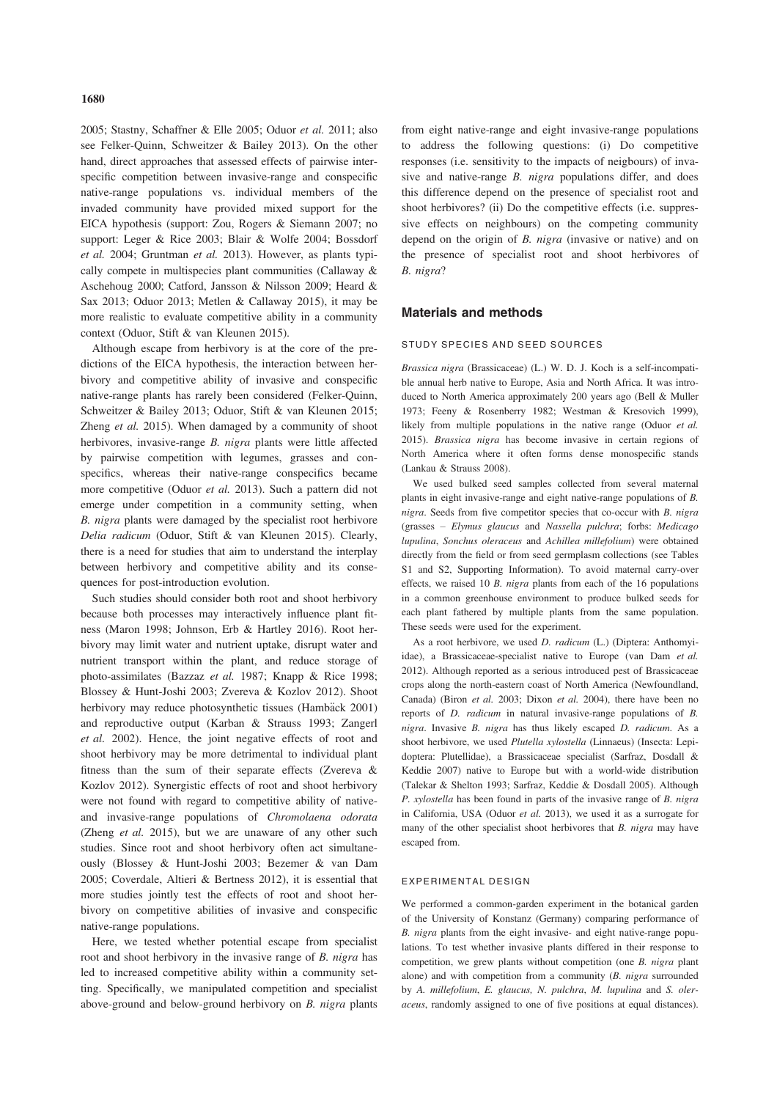2005; Stastny, Schaffner & Elle 2005; Oduor et al. 2011; also see Felker-Quinn, Schweitzer & Bailey 2013). On the other hand, direct approaches that assessed effects of pairwise interspecific competition between invasive-range and conspecific native-range populations vs. individual members of the invaded community have provided mixed support for the EICA hypothesis (support: Zou, Rogers & Siemann 2007; no support: Leger & Rice 2003; Blair & Wolfe 2004; Bossdorf et al. 2004; Gruntman et al. 2013). However, as plants typically compete in multispecies plant communities (Callaway & Aschehoug 2000; Catford, Jansson & Nilsson 2009; Heard & Sax 2013; Oduor 2013; Metlen & Callaway 2015), it may be more realistic to evaluate competitive ability in a community context (Oduor, Stift & van Kleunen 2015).

Although escape from herbivory is at the core of the predictions of the EICA hypothesis, the interaction between herbivory and competitive ability of invasive and conspecific native-range plants has rarely been considered (Felker-Quinn, Schweitzer & Bailey 2013; Oduor, Stift & van Kleunen 2015; Zheng *et al.* 2015). When damaged by a community of shoot herbivores, invasive-range B. nigra plants were little affected by pairwise competition with legumes, grasses and conspecifics, whereas their native-range conspecifics became more competitive (Oduor et al. 2013). Such a pattern did not emerge under competition in a community setting, when B. nigra plants were damaged by the specialist root herbivore Delia radicum (Oduor, Stift & van Kleunen 2015). Clearly, there is a need for studies that aim to understand the interplay between herbivory and competitive ability and its consequences for post-introduction evolution.

Such studies should consider both root and shoot herbivory because both processes may interactively influence plant fitness (Maron 1998; Johnson, Erb & Hartley 2016). Root herbivory may limit water and nutrient uptake, disrupt water and nutrient transport within the plant, and reduce storage of photo-assimilates (Bazzaz et al. 1987; Knapp & Rice 1998; Blossey & Hunt-Joshi 2003; Zvereva & Kozlov 2012). Shoot herbivory may reduce photosynthetic tissues (Hambäck 2001) and reproductive output (Karban & Strauss 1993; Zangerl et al. 2002). Hence, the joint negative effects of root and shoot herbivory may be more detrimental to individual plant fitness than the sum of their separate effects (Zvereva & Kozlov 2012). Synergistic effects of root and shoot herbivory were not found with regard to competitive ability of nativeand invasive-range populations of Chromolaena odorata (Zheng et al. 2015), but we are unaware of any other such studies. Since root and shoot herbivory often act simultaneously (Blossey & Hunt-Joshi 2003; Bezemer & van Dam 2005; Coverdale, Altieri & Bertness 2012), it is essential that more studies jointly test the effects of root and shoot herbivory on competitive abilities of invasive and conspecific native-range populations.

Here, we tested whether potential escape from specialist root and shoot herbivory in the invasive range of B. nigra has led to increased competitive ability within a community setting. Specifically, we manipulated competition and specialist above-ground and below-ground herbivory on B. nigra plants from eight native-range and eight invasive-range populations to address the following questions: (i) Do competitive responses (i.e. sensitivity to the impacts of neigbours) of invasive and native-range B. nigra populations differ, and does this difference depend on the presence of specialist root and shoot herbivores? (ii) Do the competitive effects (i.e. suppressive effects on neighbours) on the competing community depend on the origin of B. nigra (invasive or native) and on the presence of specialist root and shoot herbivores of B. nigra?

## Materials and methods

#### STUDY SPECIES AND SEED SOURCES

Brassica nigra (Brassicaceae) (L.) W. D. J. Koch is a self-incompatible annual herb native to Europe, Asia and North Africa. It was introduced to North America approximately 200 years ago (Bell & Muller 1973; Feeny & Rosenberry 1982; Westman & Kresovich 1999), likely from multiple populations in the native range (Oduor et al. 2015). Brassica nigra has become invasive in certain regions of North America where it often forms dense monospecific stands (Lankau & Strauss 2008).

We used bulked seed samples collected from several maternal plants in eight invasive-range and eight native-range populations of B. nigra. Seeds from five competitor species that co-occur with B. nigra (grasses – Elymus glaucus and Nassella pulchra; forbs: Medicago lupulina, Sonchus oleraceus and Achillea millefolium) were obtained directly from the field or from seed germplasm collections (see Tables S1 and S2, Supporting Information). To avoid maternal carry-over effects, we raised 10 B. nigra plants from each of the 16 populations in a common greenhouse environment to produce bulked seeds for each plant fathered by multiple plants from the same population. These seeds were used for the experiment.

As a root herbivore, we used D. radicum (L.) (Diptera: Anthomyiidae), a Brassicaceae-specialist native to Europe (van Dam et al. 2012). Although reported as a serious introduced pest of Brassicaceae crops along the north-eastern coast of North America (Newfoundland, Canada) (Biron et al. 2003; Dixon et al. 2004), there have been no reports of D. radicum in natural invasive-range populations of B. nigra. Invasive B. nigra has thus likely escaped D. radicum. As a shoot herbivore, we used Plutella xylostella (Linnaeus) (Insecta: Lepidoptera: Plutellidae), a Brassicaceae specialist (Sarfraz, Dosdall & Keddie 2007) native to Europe but with a world-wide distribution (Talekar & Shelton 1993; Sarfraz, Keddie & Dosdall 2005). Although P. xylostella has been found in parts of the invasive range of B. nigra in California, USA (Oduor et al. 2013), we used it as a surrogate for many of the other specialist shoot herbivores that B. nigra may have escaped from.

## EXPERIMENTAL DESIGN

We performed a common-garden experiment in the botanical garden of the University of Konstanz (Germany) comparing performance of B. nigra plants from the eight invasive- and eight native-range populations. To test whether invasive plants differed in their response to competition, we grew plants without competition (one B. nigra plant alone) and with competition from a community (B. nigra surrounded by A. millefolium, E. glaucus, N. pulchra, M. lupulina and S. oleraceus, randomly assigned to one of five positions at equal distances).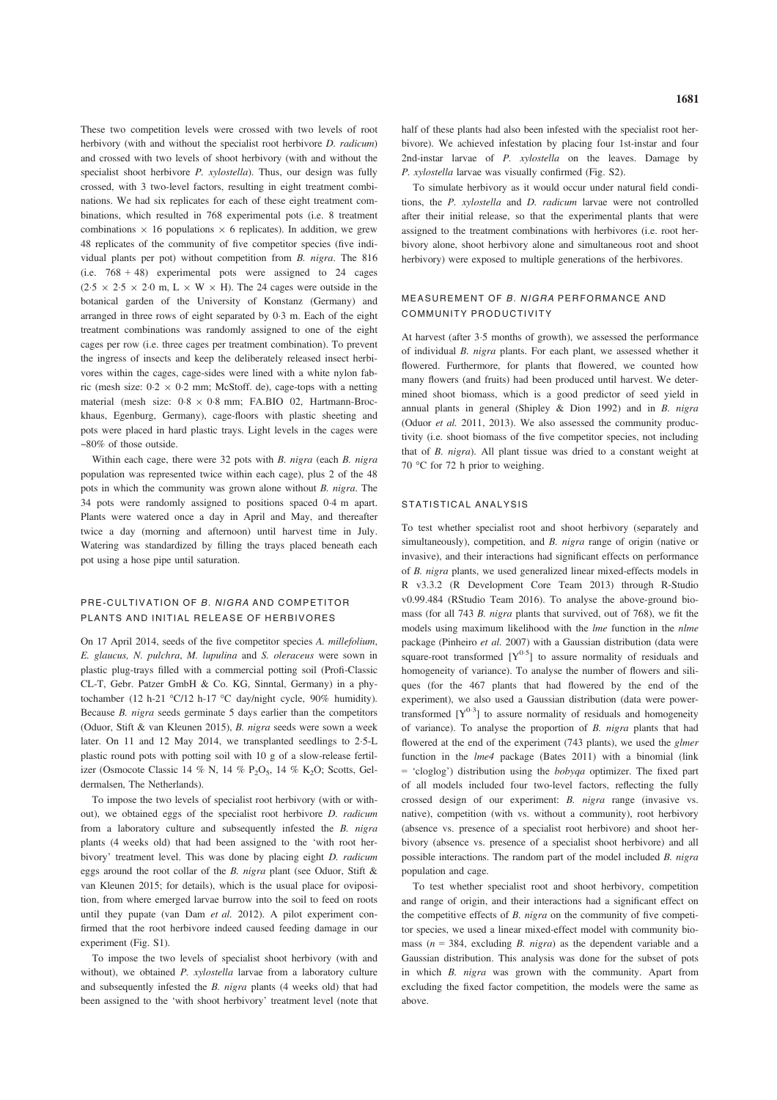These two competition levels were crossed with two levels of root herbivory (with and without the specialist root herbivore *D. radicum*) and crossed with two levels of shoot herbivory (with and without the specialist shoot herbivore *P. xylostella*). Thus, our design was fully crossed, with 3 two-level factors, resulting in eight treatment combinations. We had six replicates for each of these eight treatment combinations, which resulted in 768 experimental pots (i.e. 8 treatment combinations  $\times$  16 populations  $\times$  6 replicates). In addition, we grew 48 replicates of the community of five competitor species (five individual plants per pot) without competition from B. nigra. The 816 (i.e. 768 + 48) experimental pots were assigned to 24 cages  $(2.5 \times 2.5 \times 2.0 \text{ m}, L \times W \times H)$ . The 24 cages were outside in the botanical garden of the University of Konstanz (Germany) and arranged in three rows of eight separated by 0-3 m. Each of the eight treatment combinations was randomly assigned to one of the eight cages per row (i.e. three cages per treatment combination). To prevent the ingress of insects and keep the deliberately released insect herbivores within the cages, cage-sides were lined with a white nylon fabric (mesh size:  $0.2 \times 0.2$  mm; McStoff. de), cage-tops with a netting material (mesh size:  $0.8 \times 0.8$  mm; FA.BIO 02, Hartmann-Brockhaus, Egenburg, Germany), cage-floors with plastic sheeting and pots were placed in hard plastic trays. Light levels in the cages were ~80% of those outside.

Within each cage, there were 32 pots with B. nigra (each B. nigra population was represented twice within each cage), plus 2 of the 48 pots in which the community was grown alone without B. nigra. The 34 pots were randomly assigned to positions spaced 0-4 m apart. Plants were watered once a day in April and May, and thereafter twice a day (morning and afternoon) until harvest time in July. Watering was standardized by filling the trays placed beneath each pot using a hose pipe until saturation.

## PRE-CULTIVATION OF B. NIGRA AND COMPETITOR PLANTS AND INITIAL RELEASE OF HERBIVORES

On 17 April 2014, seeds of the five competitor species A. millefolium, E. glaucus, N. pulchra, M. lupulina and S. oleraceus were sown in plastic plug-trays filled with a commercial potting soil (Profi-Classic CL-T, Gebr. Patzer GmbH & Co. KG, Sinntal, Germany) in a phytochamber (12 h-21 °C/12 h-17 °C day/night cycle, 90% humidity). Because B. nigra seeds germinate 5 days earlier than the competitors (Oduor, Stift & van Kleunen 2015), B. nigra seeds were sown a week later. On 11 and 12 May 2014, we transplanted seedlings to 2-5-L plastic round pots with potting soil with 10 g of a slow-release fertilizer (Osmocote Classic 14 % N, 14 % P<sub>2</sub>O<sub>5</sub>, 14 % K<sub>2</sub>O; Scotts, Geldermalsen, The Netherlands).

To impose the two levels of specialist root herbivory (with or without), we obtained eggs of the specialist root herbivore D. radicum from a laboratory culture and subsequently infested the B. nigra plants (4 weeks old) that had been assigned to the 'with root herbivory' treatment level. This was done by placing eight D. radicum eggs around the root collar of the B. nigra plant (see Oduor, Stift & van Kleunen 2015; for details), which is the usual place for oviposition, from where emerged larvae burrow into the soil to feed on roots until they pupate (van Dam et al. 2012). A pilot experiment confirmed that the root herbivore indeed caused feeding damage in our experiment (Fig. S1).

To impose the two levels of specialist shoot herbivory (with and without), we obtained P. xylostella larvae from a laboratory culture and subsequently infested the B. nigra plants (4 weeks old) that had been assigned to the 'with shoot herbivory' treatment level (note that

half of these plants had also been infested with the specialist root herbivore). We achieved infestation by placing four 1st-instar and four 2nd-instar larvae of P. xylostella on the leaves. Damage by P. xylostella larvae was visually confirmed (Fig. S2).

To simulate herbivory as it would occur under natural field conditions, the P. xylostella and D. radicum larvae were not controlled after their initial release, so that the experimental plants that were assigned to the treatment combinations with herbivores (i.e. root herbivory alone, shoot herbivory alone and simultaneous root and shoot herbivory) were exposed to multiple generations of the herbivores.

## MEASUREMENT OF B. NIGRA PERFORMANCE AND COMMUNITY PRODUCTIVITY

At harvest (after 3-5 months of growth), we assessed the performance of individual B. nigra plants. For each plant, we assessed whether it flowered. Furthermore, for plants that flowered, we counted how many flowers (and fruits) had been produced until harvest. We determined shoot biomass, which is a good predictor of seed yield in annual plants in general (Shipley & Dion 1992) and in B. nigra (Oduor et al. 2011, 2013). We also assessed the community productivity (i.e. shoot biomass of the five competitor species, not including that of B. nigra). All plant tissue was dried to a constant weight at 70 °C for 72 h prior to weighing.

#### STATISTICAL ANALYSIS

To test whether specialist root and shoot herbivory (separately and simultaneously), competition, and B. nigra range of origin (native or invasive), and their interactions had significant effects on performance of B. nigra plants, we used generalized linear mixed-effects models in R v3.3.2 (R Development Core Team 2013) through R-Studio v0.99.484 (RStudio Team 2016). To analyse the above-ground biomass (for all 743 B. nigra plants that survived, out of 768), we fit the models using maximum likelihood with the lme function in the nlme package (Pinheiro et al. 2007) with a Gaussian distribution (data were square-root transformed  $[Y^{0.5}]$  to assure normality of residuals and homogeneity of variance). To analyse the number of flowers and siliques (for the 467 plants that had flowered by the end of the experiment), we also used a Gaussian distribution (data were powertransformed  $[Y^{0.3}]$  to assure normality of residuals and homogeneity of variance). To analyse the proportion of B. nigra plants that had flowered at the end of the experiment (743 plants), we used the *glmer* function in the lme4 package (Bates 2011) with a binomial (link = 'cloglog') distribution using the bobyqa optimizer. The fixed part of all models included four two-level factors, reflecting the fully crossed design of our experiment: B. nigra range (invasive vs. native), competition (with vs. without a community), root herbivory (absence vs. presence of a specialist root herbivore) and shoot herbivory (absence vs. presence of a specialist shoot herbivore) and all possible interactions. The random part of the model included B. nigra population and cage.

To test whether specialist root and shoot herbivory, competition and range of origin, and their interactions had a significant effect on the competitive effects of B. nigra on the community of five competitor species, we used a linear mixed-effect model with community biomass ( $n = 384$ , excluding *B. nigra*) as the dependent variable and a Gaussian distribution. This analysis was done for the subset of pots in which B. nigra was grown with the community. Apart from excluding the fixed factor competition, the models were the same as above.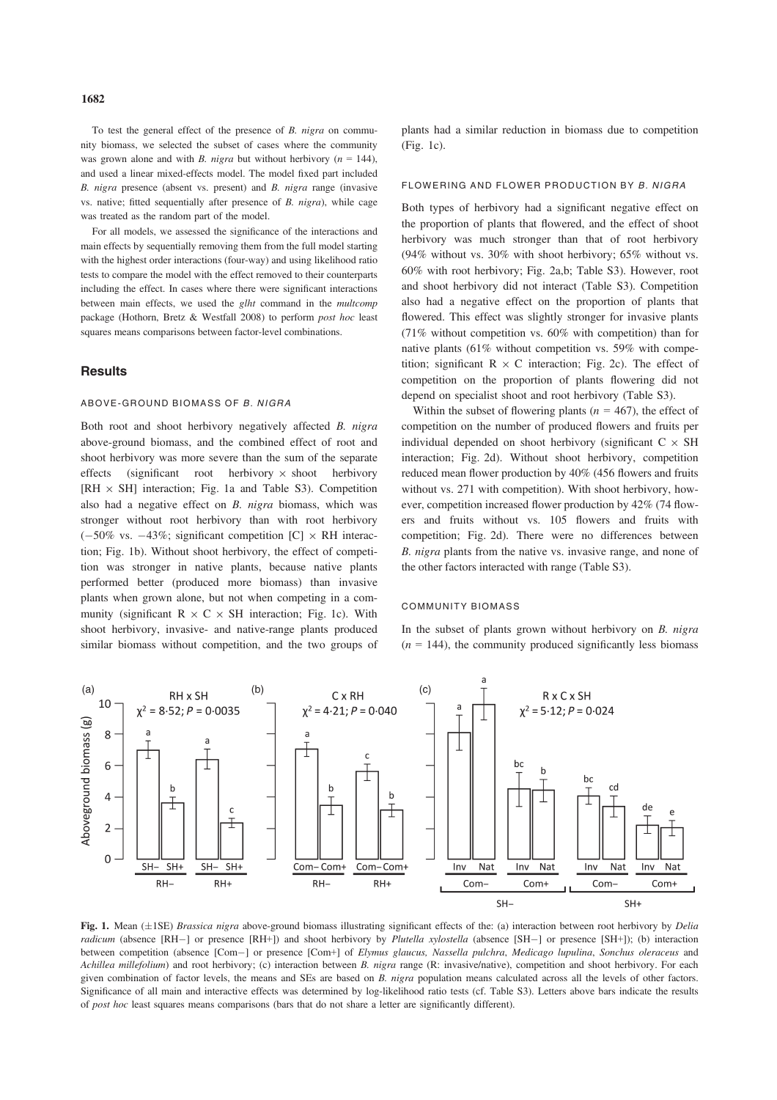To test the general effect of the presence of B. nigra on community biomass, we selected the subset of cases where the community was grown alone and with B. nigra but without herbivory ( $n = 144$ ), and used a linear mixed-effects model. The model fixed part included B. nigra presence (absent vs. present) and B. nigra range (invasive vs. native; fitted sequentially after presence of B. nigra), while cage was treated as the random part of the model.

For all models, we assessed the significance of the interactions and main effects by sequentially removing them from the full model starting with the highest order interactions (four-way) and using likelihood ratio tests to compare the model with the effect removed to their counterparts including the effect. In cases where there were significant interactions between main effects, we used the *glht* command in the *multcomp* package (Hothorn, Bretz & Westfall 2008) to perform post hoc least squares means comparisons between factor-level combinations.

## **Results**

#### ABOVE-GROUND BIOMASS OF B. NIGRA

Both root and shoot herbivory negatively affected B. nigra above-ground biomass, and the combined effect of root and shoot herbivory was more severe than the sum of the separate effects (significant root herbivory  $\times$  shoot herbivory [RH  $\times$  SH] interaction; Fig. 1a and Table S3). Competition also had a negative effect on B. nigra biomass, which was stronger without root herbivory than with root herbivory  $(-50\% \text{ vs. } -43\%;$  significant competition [C]  $\times$  RH interaction; Fig. 1b). Without shoot herbivory, the effect of competition was stronger in native plants, because native plants performed better (produced more biomass) than invasive plants when grown alone, but not when competing in a community (significant  $R \times C \times SH$  interaction; Fig. 1c). With shoot herbivory, invasive- and native-range plants produced similar biomass without competition, and the two groups of plants had a similar reduction in biomass due to competition (Fig. 1c).

#### FLOWERING AND FLOWER PRODUCTION BY B. NIGRA

Both types of herbivory had a significant negative effect on the proportion of plants that flowered, and the effect of shoot herbivory was much stronger than that of root herbivory (94% without vs. 30% with shoot herbivory; 65% without vs. 60% with root herbivory; Fig. 2a,b; Table S3). However, root and shoot herbivory did not interact (Table S3). Competition also had a negative effect on the proportion of plants that flowered. This effect was slightly stronger for invasive plants (71% without competition vs. 60% with competition) than for native plants (61% without competition vs. 59% with competition; significant  $R \times C$  interaction; Fig. 2c). The effect of competition on the proportion of plants flowering did not depend on specialist shoot and root herbivory (Table S3).

Within the subset of flowering plants ( $n = 467$ ), the effect of competition on the number of produced flowers and fruits per individual depended on shoot herbivory (significant  $C \times SH$ interaction; Fig. 2d). Without shoot herbivory, competition reduced mean flower production by 40% (456 flowers and fruits without vs. 271 with competition). With shoot herbivory, however, competition increased flower production by 42% (74 flowers and fruits without vs. 105 flowers and fruits with competition; Fig. 2d). There were no differences between B. nigra plants from the native vs. invasive range, and none of the other factors interacted with range (Table S3).

## COMMUNITY BIOMASS

In the subset of plants grown without herbivory on  $B$ . nigra  $(n = 144)$ , the community produced significantly less biomass



Fig. 1. Mean  $(\pm 1SE)$  Brassica nigra above-ground biomass illustrating significant effects of the: (a) interaction between root herbivory by *Delia* radicum (absence [RH-] or presence [RH+]) and shoot herbivory by *Plutella xylostella* (absence [SH-] or presence [SH+]); (b) interaction between competition (absence [Com-] or presence [Com+] of Elymus glaucus, Nassella pulchra, Medicago lupulina, Sonchus oleraceus and Achillea millefolium) and root herbivory; (c) interaction between B. nigra range (R: invasive/native), competition and shoot herbivory. For each given combination of factor levels, the means and SEs are based on B. nigra population means calculated across all the levels of other factors. Significance of all main and interactive effects was determined by log-likelihood ratio tests (cf. Table S3). Letters above bars indicate the results of post hoc least squares means comparisons (bars that do not share a letter are significantly different).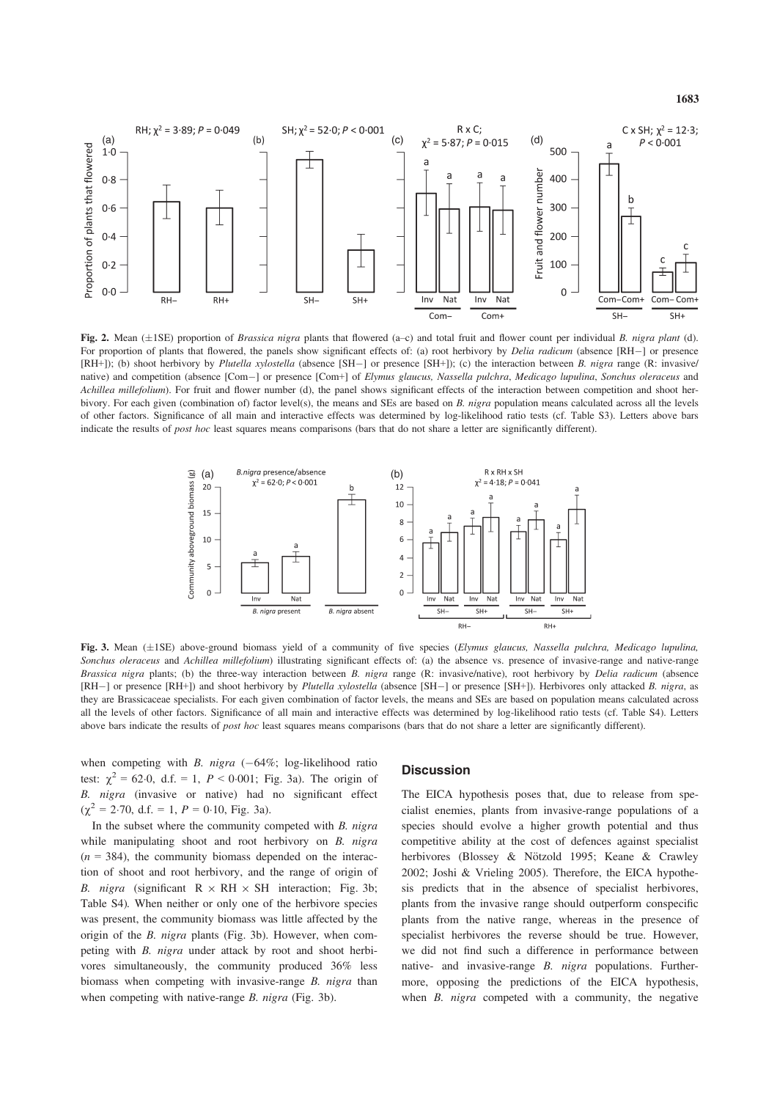

Fig. 2. Mean ( $\pm$ 1SE) proportion of *Brassica nigra* plants that flowered (a–c) and total fruit and flower count per individual B. nigra plant (d). For proportion of plants that flowered, the panels show significant effects of: (a) root herbivory by *Delia radicum* (absence [RH-] or presence [RH+]); (b) shoot herbivory by Plutella xylostella (absence [SH-] or presence [SH+]); (c) the interaction between B. nigra range (R: invasive/ native) and competition (absence [Com-] or presence [Com+] of Elymus glaucus, Nassella pulchra, Medicago lupulina, Sonchus oleraceus and Achillea millefolium). For fruit and flower number (d), the panel shows significant effects of the interaction between competition and shoot herbivory. For each given (combination of) factor level(s), the means and SEs are based on B. nigra population means calculated across all the levels of other factors. Significance of all main and interactive effects was determined by log-likelihood ratio tests (cf. Table S3). Letters above bars indicate the results of *post hoc* least squares means comparisons (bars that do not share a letter are significantly different).



Fig. 3. Mean (±1SE) above-ground biomass yield of a community of five species (Elymus glaucus, Nassella pulchra, Medicago lupulina, Sonchus oleraceus and Achillea millefolium) illustrating significant effects of: (a) the absence vs. presence of invasive-range and native-range Brassica nigra plants; (b) the three-way interaction between B. nigra range (R: invasive/native), root herbivory by Delia radicum (absence [RH-] or presence [RH+]) and shoot herbivory by Plutella xylostella (absence [SH-] or presence [SH+]). Herbivores only attacked B. nigra, as they are Brassicaceae specialists. For each given combination of factor levels, the means and SEs are based on population means calculated across all the levels of other factors. Significance of all main and interactive effects was determined by log-likelihood ratio tests (cf. Table S4). Letters above bars indicate the results of *post hoc* least squares means comparisons (bars that do not share a letter are significantly different).

when competing with B. nigra  $(-64\%)$ ; log-likelihood ratio test:  $\chi^2 = 62.0$ , d.f. = 1,  $P < 0.001$ ; Fig. 3a). The origin of B. nigra (invasive or native) had no significant effect  $(\chi^2 = 2.70, d.f. = 1, P = 0.10, Fig. 3a).$ 

In the subset where the community competed with  $B$ . nigra while manipulating shoot and root herbivory on B. nigra  $(n = 384)$ , the community biomass depended on the interaction of shoot and root herbivory, and the range of origin of B. nigra (significant  $R \times RH \times SH$  interaction; Fig. 3b; Table S4). When neither or only one of the herbivore species was present, the community biomass was little affected by the origin of the B. nigra plants (Fig. 3b). However, when competing with B. nigra under attack by root and shoot herbivores simultaneously, the community produced 36% less biomass when competing with invasive-range B, nigra than when competing with native-range B. nigra (Fig. 3b).

#### **Discussion**

The EICA hypothesis poses that, due to release from specialist enemies, plants from invasive-range populations of a species should evolve a higher growth potential and thus competitive ability at the cost of defences against specialist herbivores (Blossey & Nötzold 1995; Keane & Crawley 2002; Joshi & Vrieling 2005). Therefore, the EICA hypothesis predicts that in the absence of specialist herbivores, plants from the invasive range should outperform conspecific plants from the native range, whereas in the presence of specialist herbivores the reverse should be true. However, we did not find such a difference in performance between native- and invasive-range B. nigra populations. Furthermore, opposing the predictions of the EICA hypothesis, when  $B$ , *nigra* competed with a community, the negative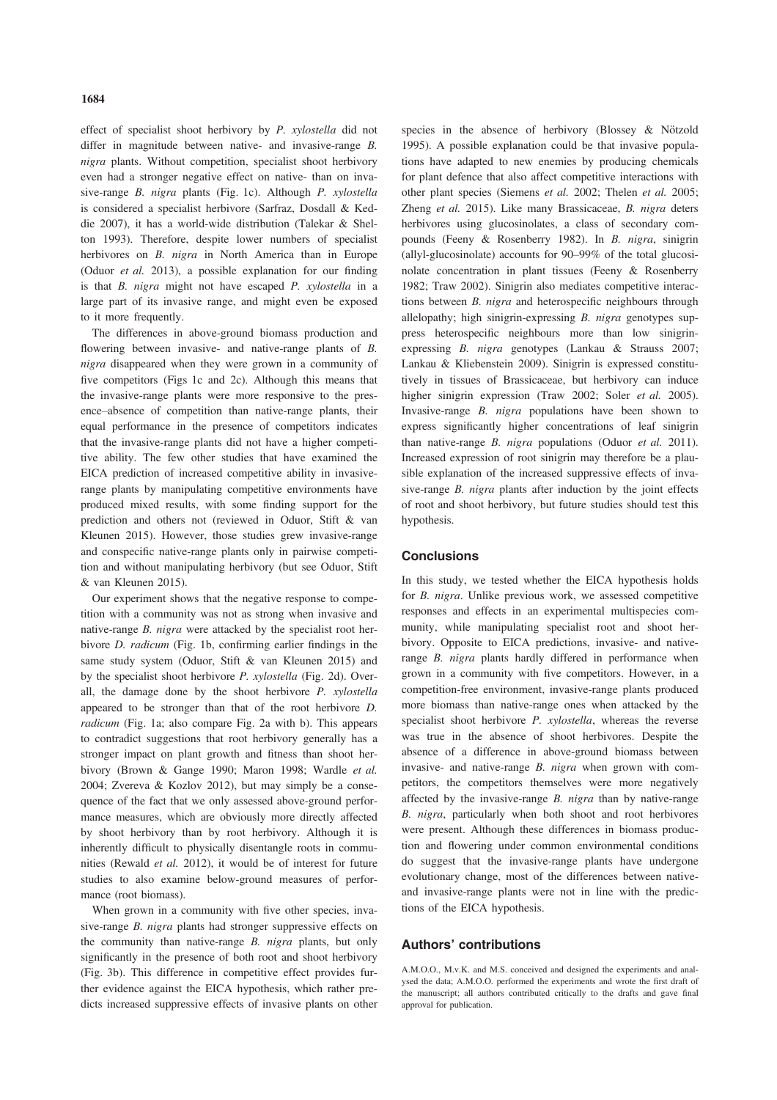effect of specialist shoot herbivory by P. xylostella did not differ in magnitude between native- and invasive-range B. nigra plants. Without competition, specialist shoot herbivory even had a stronger negative effect on native- than on invasive-range B. nigra plants (Fig. 1c). Although P. xylostella is considered a specialist herbivore (Sarfraz, Dosdall & Keddie 2007), it has a world-wide distribution (Talekar & Shelton 1993). Therefore, despite lower numbers of specialist herbivores on *B. nigra* in North America than in Europe (Oduor et al. 2013), a possible explanation for our finding is that B. nigra might not have escaped P. xylostella in a large part of its invasive range, and might even be exposed to it more frequently.

The differences in above-ground biomass production and flowering between invasive- and native-range plants of B. nigra disappeared when they were grown in a community of five competitors (Figs 1c and 2c). Although this means that the invasive-range plants were more responsive to the presence–absence of competition than native-range plants, their equal performance in the presence of competitors indicates that the invasive-range plants did not have a higher competitive ability. The few other studies that have examined the EICA prediction of increased competitive ability in invasiverange plants by manipulating competitive environments have produced mixed results, with some finding support for the prediction and others not (reviewed in Oduor, Stift & van Kleunen 2015). However, those studies grew invasive-range and conspecific native-range plants only in pairwise competition and without manipulating herbivory (but see Oduor, Stift & van Kleunen 2015).

Our experiment shows that the negative response to competition with a community was not as strong when invasive and native-range B. nigra were attacked by the specialist root herbivore D. radicum (Fig. 1b, confirming earlier findings in the same study system (Oduor, Stift & van Kleunen 2015) and by the specialist shoot herbivore P. xylostella (Fig. 2d). Overall, the damage done by the shoot herbivore P. xylostella appeared to be stronger than that of the root herbivore D. radicum (Fig. 1a; also compare Fig. 2a with b). This appears to contradict suggestions that root herbivory generally has a stronger impact on plant growth and fitness than shoot herbivory (Brown & Gange 1990; Maron 1998; Wardle et al. 2004; Zvereva & Kozlov 2012), but may simply be a consequence of the fact that we only assessed above-ground performance measures, which are obviously more directly affected by shoot herbivory than by root herbivory. Although it is inherently difficult to physically disentangle roots in communities (Rewald et al. 2012), it would be of interest for future studies to also examine below-ground measures of performance (root biomass).

When grown in a community with five other species, invasive-range *B. nigra* plants had stronger suppressive effects on the community than native-range  $B$ . *nigra* plants, but only significantly in the presence of both root and shoot herbivory (Fig. 3b). This difference in competitive effect provides further evidence against the EICA hypothesis, which rather predicts increased suppressive effects of invasive plants on other species in the absence of herbivory (Blossey & Nötzold 1995). A possible explanation could be that invasive populations have adapted to new enemies by producing chemicals for plant defence that also affect competitive interactions with other plant species (Siemens et al. 2002; Thelen et al. 2005; Zheng et al. 2015). Like many Brassicaceae, B. nigra deters herbivores using glucosinolates, a class of secondary compounds (Feeny & Rosenberry 1982). In B. nigra, sinigrin (allyl-glucosinolate) accounts for 90–99% of the total glucosinolate concentration in plant tissues (Feeny & Rosenberry 1982; Traw 2002). Sinigrin also mediates competitive interactions between B. nigra and heterospecific neighbours through allelopathy; high sinigrin-expressing B. nigra genotypes suppress heterospecific neighbours more than low sinigrinexpressing B. nigra genotypes (Lankau & Strauss 2007; Lankau & Kliebenstein 2009). Sinigrin is expressed constitutively in tissues of Brassicaceae, but herbivory can induce higher sinigrin expression (Traw 2002; Soler *et al.* 2005). Invasive-range B. nigra populations have been shown to express significantly higher concentrations of leaf sinigrin than native-range B. nigra populations (Oduor et al. 2011). Increased expression of root sinigrin may therefore be a plausible explanation of the increased suppressive effects of invasive-range *B. nigra* plants after induction by the joint effects of root and shoot herbivory, but future studies should test this hypothesis.

## **Conclusions**

In this study, we tested whether the EICA hypothesis holds for B. nigra. Unlike previous work, we assessed competitive responses and effects in an experimental multispecies community, while manipulating specialist root and shoot herbivory. Opposite to EICA predictions, invasive- and nativerange B. nigra plants hardly differed in performance when grown in a community with five competitors. However, in a competition-free environment, invasive-range plants produced more biomass than native-range ones when attacked by the specialist shoot herbivore P. xylostella, whereas the reverse was true in the absence of shoot herbivores. Despite the absence of a difference in above-ground biomass between invasive- and native-range B. nigra when grown with competitors, the competitors themselves were more negatively affected by the invasive-range B. nigra than by native-range B. nigra, particularly when both shoot and root herbivores were present. Although these differences in biomass production and flowering under common environmental conditions do suggest that the invasive-range plants have undergone evolutionary change, most of the differences between nativeand invasive-range plants were not in line with the predictions of the EICA hypothesis.

## Authors' contributions

A.M.O.O., M.v.K. and M.S. conceived and designed the experiments and analysed the data; A.M.O.O. performed the experiments and wrote the first draft of the manuscript; all authors contributed critically to the drafts and gave final approval for publication.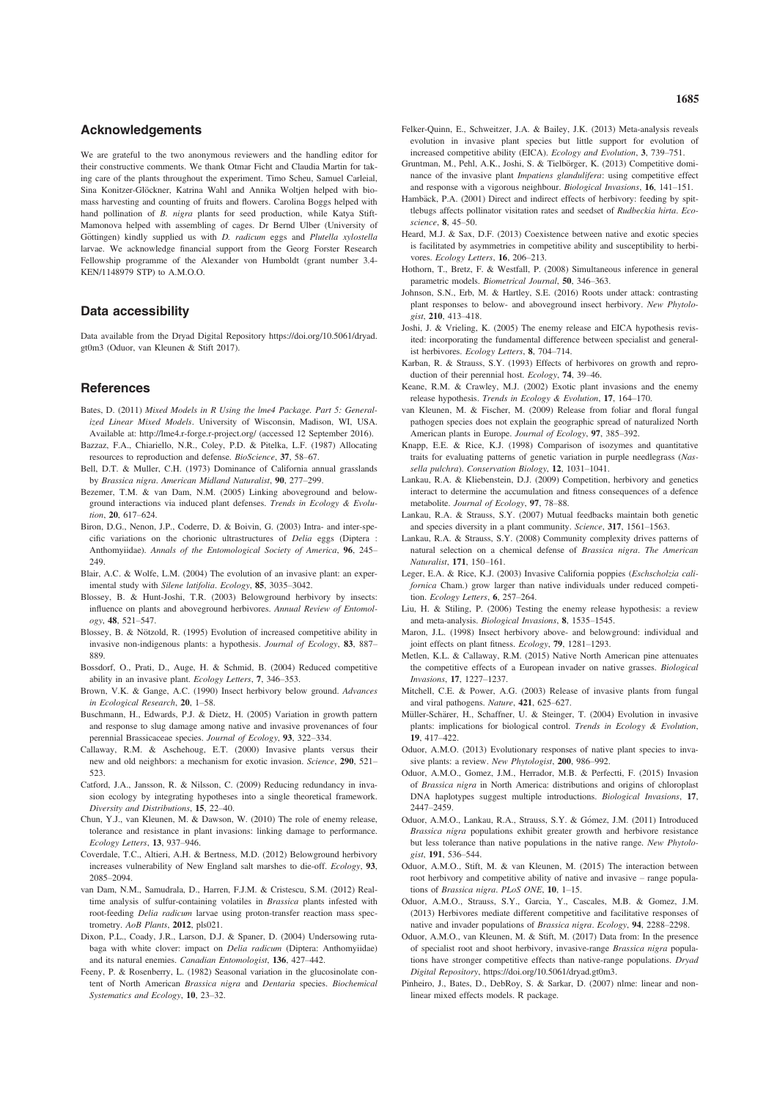#### Acknowledgements

We are grateful to the two anonymous reviewers and the handling editor for their constructive comments. We thank Otmar Ficht and Claudia Martin for taking care of the plants throughout the experiment. Timo Scheu, Samuel Carleial, Sina Konitzer-Glöckner, Katrina Wahl and Annika Woltjen helped with biomass harvesting and counting of fruits and flowers. Carolina Boggs helped with hand pollination of B. nigra plants for seed production, while Katya Stift-Mamonova helped with assembling of cages. Dr Bernd Ulber (University of Göttingen) kindly supplied us with D. radicum eggs and Plutella xylostella larvae. We acknowledge financial support from the Georg Forster Research Fellowship programme of the Alexander von Humboldt (grant number 3.4- KEN/1148979 STP) to A.M.O.O.

#### Data accessibility

Data available from the Dryad Digital Repository https://doi.org/10.5061/dryad. gt0m3 (Oduor, van Kleunen & Stift 2017).

#### **References**

- Bates, D. (2011) Mixed Models in R Using the lme4 Package. Part 5: Generalized Linear Mixed Models. University of Wisconsin, Madison, WI, USA. Available at: http://lme4.r-forge.r-project.org/ (accessed 12 September 2016).
- Bazzaz, F.A., Chiariello, N.R., Coley, P.D. & Pitelka, L.F. (1987) Allocating resources to reproduction and defense. BioScience, 37, 58–67.
- Bell, D.T. & Muller, C.H. (1973) Dominance of California annual grasslands by Brassica nigra. American Midland Naturalist, 90, 277–299.
- Bezemer, T.M. & van Dam, N.M. (2005) Linking aboveground and belowground interactions via induced plant defenses. Trends in Ecology & Evolution, 20, 617-624.
- Biron, D.G., Nenon, J.P., Coderre, D. & Boivin, G. (2003) Intra- and inter-specific variations on the chorionic ultrastructures of Delia eggs (Diptera : Anthomyiidae). Annals of the Entomological Society of America, 96, 245– 249.
- Blair, A.C. & Wolfe, L.M. (2004) The evolution of an invasive plant: an experimental study with Silene latifolia. Ecology, 85, 3035–3042.
- Blossey, B. & Hunt-Joshi, T.R. (2003) Belowground herbivory by insects: influence on plants and aboveground herbivores. Annual Review of Entomology, 48, 521–547.
- Blossey, B. & Nötzold, R. (1995) Evolution of increased competitive ability in invasive non-indigenous plants: a hypothesis. Journal of Ecology, 83, 887– 889.
- Bossdorf, O., Prati, D., Auge, H. & Schmid, B. (2004) Reduced competitive ability in an invasive plant. Ecology Letters, 7, 346–353.
- Brown, V.K. & Gange, A.C. (1990) Insect herbivory below ground. Advances in Ecological Research, 20, 1–58.
- Buschmann, H., Edwards, P.J. & Dietz, H. (2005) Variation in growth pattern and response to slug damage among native and invasive provenances of four perennial Brassicaceae species. Journal of Ecology, 93, 322–334.
- Callaway, R.M. & Aschehoug, E.T. (2000) Invasive plants versus their new and old neighbors: a mechanism for exotic invasion. Science, <sup>290</sup>, <sup>521</sup>– 523.
- Catford, J.A., Jansson, R. & Nilsson, C. (2009) Reducing redundancy in invasion ecology by integrating hypotheses into a single theoretical framework. Diversity and Distributions, 15, 22–40.
- Chun, Y.J., van Kleunen, M. & Dawson, W. (2010) The role of enemy release, tolerance and resistance in plant invasions: linking damage to performance. Ecology Letters, 13, 937–946.
- Coverdale, T.C., Altieri, A.H. & Bertness, M.D. (2012) Belowground herbivory increases vulnerability of New England salt marshes to die-off. Ecology, 93, 2085–2094.
- van Dam, N.M., Samudrala, D., Harren, F.J.M. & Cristescu, S.M. (2012) Realtime analysis of sulfur-containing volatiles in Brassica plants infested with root-feeding Delia radicum larvae using proton-transfer reaction mass spectrometry. AoB Plants, 2012, pls021.
- Dixon, P.L., Coady, J.R., Larson, D.J. & Spaner, D. (2004) Undersowing rutabaga with white clover: impact on Delia radicum (Diptera: Anthomyiidae) and its natural enemies. Canadian Entomologist, 136, 427–442.
- Feeny, P. & Rosenberry, L. (1982) Seasonal variation in the glucosinolate content of North American Brassica nigra and Dentaria species. Biochemical Systematics and Ecology, 10, 23–32.
- Felker-Quinn, E., Schweitzer, J.A. & Bailey, J.K. (2013) Meta-analysis reveals evolution in invasive plant species but little support for evolution of increased competitive ability (EICA). Ecology and Evolution, 3, 739–751.
- Gruntman, M., Pehl, A.K., Joshi, S. & Tielbörger, K. (2013) Competitive dominance of the invasive plant Impatiens glandulifera: using competitive effect and response with a vigorous neighbour. Biological Invasions, 16, 141–151.
- Hambäck, P.A. (2001) Direct and indirect effects of herbivory: feeding by spittlebugs affects pollinator visitation rates and seedset of Rudbeckia hirta. Ecoscience, <sup>8</sup>, 45–50.
- Heard, M.J. & Sax, D.F. (2013) Coexistence between native and exotic species is facilitated by asymmetries in competitive ability and susceptibility to herbi-
- vores. Ecology Letters, 16, 206-213.<br>Hothorn, T., Bretz, F. & Westfall, P. (2008) Simultaneous inference in general parametric models. Biometrical Journal, 50, 346–363.
- Johnson, S.N., Erb, M. & Hartley, S.E. (2016) Roots under attack: contrasting plant responses to below- and aboveground insect herbivory. New Phytolo-
- gist, 210, 413–418.<br>Joshi, J. & Vrieling, K. (2005) The enemy release and EICA hypothesis revisited: incorporating the fundamental difference between specialist and generalist herbivores. Ecology Letters, 8, 704–714.
- Karban, R. & Strauss, S.Y. (1993) Effects of herbivores on growth and reproduction of their perennial host. Ecology, 74, 39–46.
- Keane, R.M. & Crawley, M.J. (2002) Exotic plant invasions and the enemy release hypothesis. Trends in Ecology & Evolution, 17, 164–170.
- van Kleunen, M. & Fischer, M. (2009) Release from foliar and floral fungal pathogen species does not explain the geographic spread of naturalized North American plants in Europe. Journal of Ecology, 97, 385–392.
- Knapp, E.E. & Rice, K.J. (1998) Comparison of isozymes and quantitative traits for evaluating patterns of genetic variation in purple needlegrass (Nassella pulchra). Conservation Biology, 12, 1031–1041.
- Lankau, R.A. & Kliebenstein, D.J. (2009) Competition, herbivory and genetics interact to determine the accumulation and fitness consequences of a defence metabolite. Journal of Ecology, 97, 78–88.
- Lankau, R.A. & Strauss, S.Y. (2007) Mutual feedbacks maintain both genetic and species diversity in a plant community. Science, 317, 1561–1563.
- Lankau, R.A. & Strauss, S.Y. (2008) Community complexity drives patterns of natural selection on a chemical defense of Brassica nigra. The American Naturalist, 171, 150–161.
- Leger, E.A. & Rice, K.J. (2003) Invasive California poppies (Eschscholzia californica Cham.) grow larger than native individuals under reduced competition. Ecology Letters, 6, 257–264.
- Liu, H. & Stiling, P. (2006) Testing the enemy release hypothesis: a review and meta-analysis. Biological Invasions, 8, 1535–1545.
- Maron, J.L. (1998) Insect herbivory above- and belowground: individual and joint effects on plant fitness. Ecology, 79, 1281-1293.
- Metlen, K.L. & Callaway, R.M. (2015) Native North American pine attenuates the competitive effects of a European invader on native grasses. Biological Invasions, 17, 1227–1237.
- Mitchell, C.E. & Power, A.G. (2003) Release of invasive plants from fungal and viral pathogens. Nature, 421, 625–627.
- Müller-Schärer, H., Schaffner, U. & Steinger, T. (2004) Evolution in invasive plants: implications for biological control. Trends in Ecology & Evolution, 19, 417–422.
- Oduor, A.M.O. (2013) Evolutionary responses of native plant species to invasive plants: a review. New Phytologist, 200, 986-992.
- Oduor, A.M.O., Gomez, J.M., Herrador, M.B. & Perfectti, F. (2015) Invasion of Brassica nigra in North America: distributions and origins of chloroplast DNA haplotypes suggest multiple introductions. Biological Invasions, 17, 2447–2459.
- Oduor, A.M.O., Lankau, R.A., Strauss, S.Y. & Gómez, J.M. (2011) Introduced Brassica nigra populations exhibit greater growth and herbivore resistance but less tolerance than native populations in the native range. New Phytologist, 191, 536–544.
- Oduor, A.M.O., Stift, M. & van Kleunen, M. (2015) The interaction between root herbivory and competitive ability of native and invasive – range populations of Brassica nigra. PLoS ONE, 10, 1–15.
- Oduor, A.M.O., Strauss, S.Y., Garcia, Y., Cascales, M.B. & Gomez, J.M. (2013) Herbivores mediate different competitive and facilitative responses of native and invader populations of Brassica nigra. Ecology, 94, 2288–2298.
- Oduor, A.M.O., van Kleunen, M. & Stift, M. (2017) Data from: In the presence of specialist root and shoot herbivory, invasive-range Brassica nigra populations have stronger competitive effects than native-range populations. Dryad Digital Repository, https://doi.org/10.5061/dryad.gt0m3.
- Pinheiro, J., Bates, D., DebRoy, S. & Sarkar, D. (2007) nlme: linear and nonlinear mixed effects models. R package.